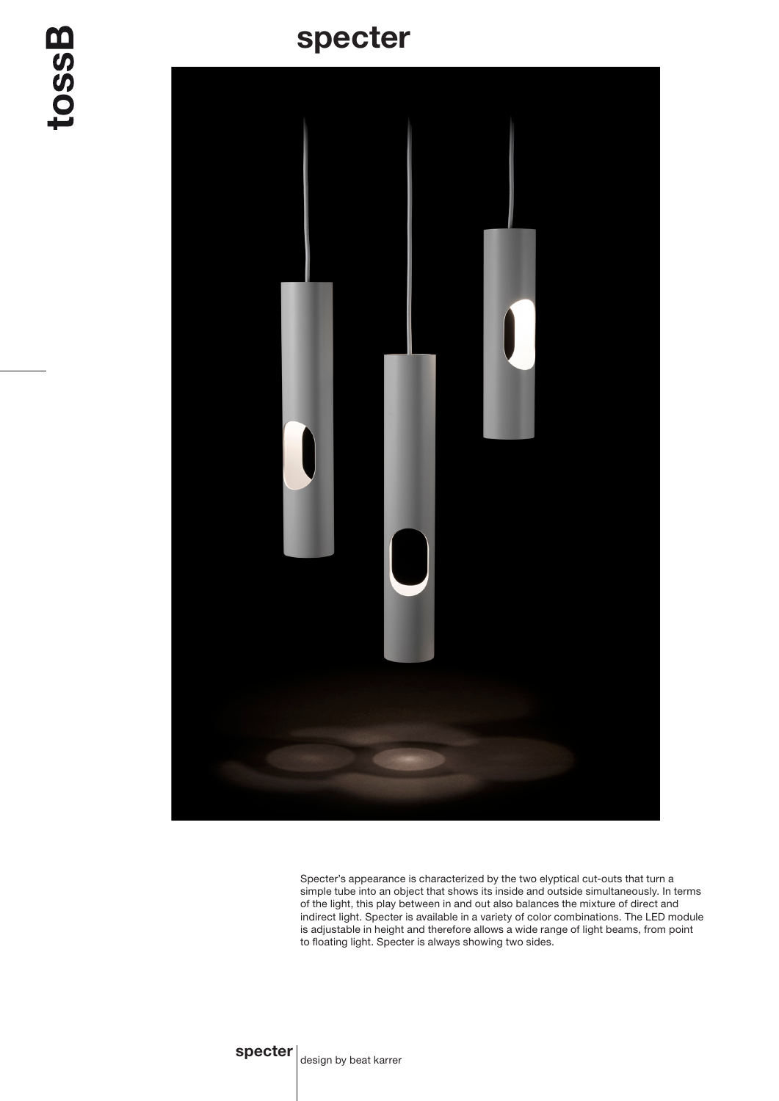## specter

tossB



Specter's appearance is characterized by the two elyptical cut-outs that turn a simple tube into an object that shows its inside and outside simultaneously. In terms of the light, this play between in and out also balances the mixture of direct and indirect light. Specter is available in a variety of color combinations. The LED module is adjustable in height and therefore allows a wide range of light beams, from point to floating light. Specter is always showing two sides.